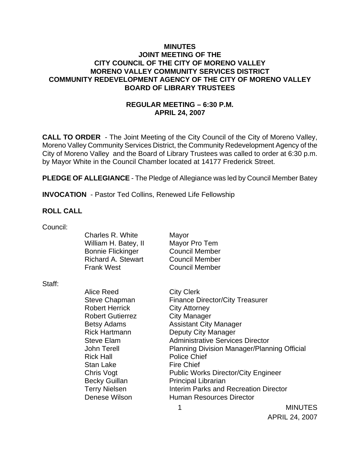### **MINUTES JOINT MEETING OF THE CITY COUNCIL OF THE CITY OF MORENO VALLEY MORENO VALLEY COMMUNITY SERVICES DISTRICT COMMUNITY REDEVELOPMENT AGENCY OF THE CITY OF MORENO VALLEY BOARD OF LIBRARY TRUSTEES**

# **REGULAR MEETING – 6:30 P.M. APRIL 24, 2007**

**CALL TO ORDER** - The Joint Meeting of the City Council of the City of Moreno Valley, Moreno Valley Community Services District, the Community Redevelopment Agency of the City of Moreno Valley and the Board of Library Trustees was called to order at 6:30 p.m. by Mayor White in the Council Chamber located at 14177 Frederick Street.

**PLEDGE OF ALLEGIANCE** - The Pledge of Allegiance was led by Council Member Batey

**INVOCATION** - Pastor Ted Collins, Renewed Life Fellowship

#### **ROLL CALL**

| Council: |                           |                                                    |                |
|----------|---------------------------|----------------------------------------------------|----------------|
|          | Charles R. White          | Mayor                                              |                |
|          | William H. Batey, II      | Mayor Pro Tem                                      |                |
|          | <b>Bonnie Flickinger</b>  | <b>Council Member</b>                              |                |
|          | <b>Richard A. Stewart</b> | <b>Council Member</b>                              |                |
|          | <b>Frank West</b>         | <b>Council Member</b>                              |                |
| Staff:   |                           |                                                    |                |
|          | Alice Reed                | <b>City Clerk</b>                                  |                |
|          | Steve Chapman             | <b>Finance Director/City Treasurer</b>             |                |
|          | <b>Robert Herrick</b>     | <b>City Attorney</b>                               |                |
|          | <b>Robert Gutierrez</b>   | <b>City Manager</b>                                |                |
|          | <b>Betsy Adams</b>        | <b>Assistant City Manager</b>                      |                |
|          | <b>Rick Hartmann</b>      | Deputy City Manager                                |                |
|          | Steve Elam                | <b>Administrative Services Director</b>            |                |
|          | John Terell               | <b>Planning Division Manager/Planning Official</b> |                |
|          | <b>Rick Hall</b>          | <b>Police Chief</b>                                |                |
|          | Stan Lake                 | <b>Fire Chief</b>                                  |                |
|          | Chris Vogt                | <b>Public Works Director/City Engineer</b>         |                |
|          | <b>Becky Guillan</b>      | <b>Principal Librarian</b>                         |                |
|          | <b>Terry Nielsen</b>      | Interim Parks and Recreation Director              |                |
|          | Denese Wilson             | <b>Human Resources Director</b>                    |                |
|          |                           | 1                                                  | <b>MINUTES</b> |

MINUTES APRIL 24, 2007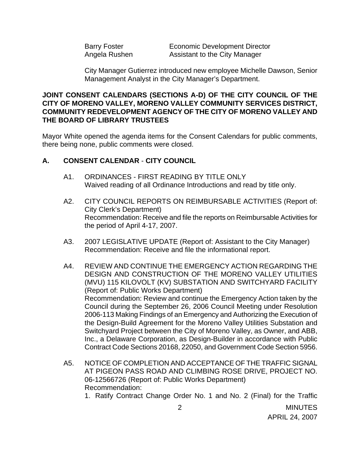Barry Foster **Economic Development Director** Angela Rushen Assistant to the City Manager

City Manager Gutierrez introduced new employee Michelle Dawson, Senior Management Analyst in the City Manager's Department.

#### **JOINT CONSENT CALENDARS (SECTIONS A-D) OF THE CITY COUNCIL OF THE CITY OF MORENO VALLEY, MORENO VALLEY COMMUNITY SERVICES DISTRICT, COMMUNITY REDEVELOPMENT AGENCY OF THE CITY OF MORENO VALLEY AND THE BOARD OF LIBRARY TRUSTEES**

Mayor White opened the agenda items for the Consent Calendars for public comments, there being none, public comments were closed.

## **A. CONSENT CALENDAR** - **CITY COUNCIL**

- A1. ORDINANCES FIRST READING BY TITLE ONLY Waived reading of all Ordinance Introductions and read by title only.
- A2. CITY COUNCIL REPORTS ON REIMBURSABLE ACTIVITIES (Report of: City Clerk's Department) Recommendation: Receive and file the reports on Reimbursable Activities for the period of April 4-17, 2007.
- A3. 2007 LEGISLATIVE UPDATE (Report of: Assistant to the City Manager) Recommendation: Receive and file the informational report.
- A4. REVIEW AND CONTINUE THE EMERGENCY ACTION REGARDING THE DESIGN AND CONSTRUCTION OF THE MORENO VALLEY UTILITIES (MVU) 115 KILOVOLT (KV) SUBSTATION AND SWITCHYARD FACILITY (Report of: Public Works Department) Recommendation: Review and continue the Emergency Action taken by the Council during the September 26, 2006 Council Meeting under Resolution 2006-113 Making Findings of an Emergency and Authorizing the Execution of the Design-Build Agreement for the Moreno Valley Utilities Substation and Switchyard Project between the City of Moreno Valley, as Owner, and ABB, Inc., a Delaware Corporation, as Design-Builder in accordance with Public Contract Code Sections 20168, 22050, and Government Code Section 5956.
- A5. NOTICE OF COMPLETION AND ACCEPTANCE OF THE TRAFFIC SIGNAL AT PIGEON PASS ROAD AND CLIMBING ROSE DRIVE, PROJECT NO. 06-12566726 (Report of: Public Works Department) Recommendation:
	- 1. Ratify Contract Change Order No. 1 and No. 2 (Final) for the Traffic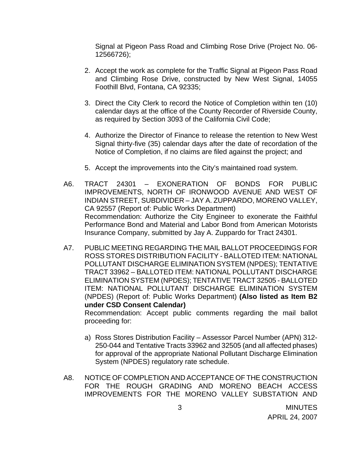Signal at Pigeon Pass Road and Climbing Rose Drive (Project No. 06- 12566726);

- 2. Accept the work as complete for the Traffic Signal at Pigeon Pass Road and Climbing Rose Drive, constructed by New West Signal, 14055 Foothill Blvd, Fontana, CA 92335;
- 3. Direct the City Clerk to record the Notice of Completion within ten (10) calendar days at the office of the County Recorder of Riverside County, as required by Section 3093 of the California Civil Code;
- 4. Authorize the Director of Finance to release the retention to New West Signal thirty-five (35) calendar days after the date of recordation of the Notice of Completion, if no claims are filed against the project; and
- 5. Accept the improvements into the City's maintained road system.
- A6. TRACT 24301 EXONERATION OF BONDS FOR PUBLIC IMPROVEMENTS, NORTH OF IRONWOOD AVENUE AND WEST OF INDIAN STREET, SUBDIVIDER – JAY A. ZUPPARDO, MORENO VALLEY, CA 92557 (Report of: Public Works Department) Recommendation: Authorize the City Engineer to exonerate the Faithful Performance Bond and Material and Labor Bond from American Motorists Insurance Company, submitted by Jay A. Zuppardo for Tract 24301.
- A7. PUBLIC MEETING REGARDING THE MAIL BALLOT PROCEEDINGS FOR ROSS STORES DISTRIBUTION FACILITY - BALLOTED ITEM: NATIONAL POLLUTANT DISCHARGE ELIMINATION SYSTEM (NPDES); TENTATIVE TRACT 33962 – BALLOTED ITEM: NATIONAL POLLUTANT DISCHARGE ELIMINATION SYSTEM (NPDES); TENTATIVE TRACT 32505 - BALLOTED ITEM: NATIONAL POLLUTANT DISCHARGE ELIMINATION SYSTEM (NPDES) (Report of: Public Works Department) **(Also listed as Item B2 under CSD Consent Calendar)**

 Recommendation: Accept public comments regarding the mail ballot proceeding for:

- a) Ross Stores Distribution Facility Assessor Parcel Number (APN) 312- 250-044 and Tentative Tracts 33962 and 32505 (and all affected phases) for approval of the appropriate National Pollutant Discharge Elimination System (NPDES) regulatory rate schedule.
- A8. NOTICE OF COMPLETION AND ACCEPTANCE OF THE CONSTRUCTION FOR THE ROUGH GRADING AND MORENO BEACH ACCESS IMPROVEMENTS FOR THE MORENO VALLEY SUBSTATION AND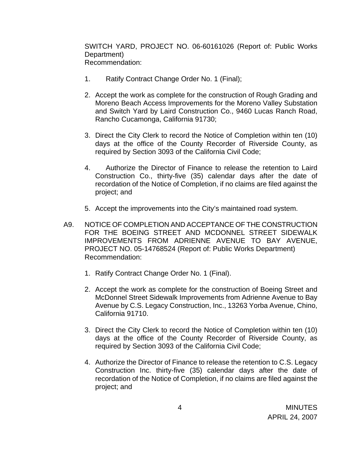SWITCH YARD, PROJECT NO. 06-60161026 (Report of: Public Works Department) Recommendation:

- 1. Ratify Contract Change Order No. 1 (Final);
- 2. Accept the work as complete for the construction of Rough Grading and Moreno Beach Access Improvements for the Moreno Valley Substation and Switch Yard by Laird Construction Co., 9460 Lucas Ranch Road, Rancho Cucamonga, California 91730;
- 3. Direct the City Clerk to record the Notice of Completion within ten (10) days at the office of the County Recorder of Riverside County, as required by Section 3093 of the California Civil Code;
- 4. Authorize the Director of Finance to release the retention to Laird Construction Co., thirty-five (35) calendar days after the date of recordation of the Notice of Completion, if no claims are filed against the project; and
- 5. Accept the improvements into the City's maintained road system.
- A9. NOTICE OF COMPLETION AND ACCEPTANCE OF THE CONSTRUCTION FOR THE BOEING STREET AND MCDONNEL STREET SIDEWALK IMPROVEMENTS FROM ADRIENNE AVENUE TO BAY AVENUE, PROJECT NO. 05-14768524 (Report of: Public Works Department) Recommendation:
	- 1. Ratify Contract Change Order No. 1 (Final).
	- 2. Accept the work as complete for the construction of Boeing Street and McDonnel Street Sidewalk Improvements from Adrienne Avenue to Bay Avenue by C.S. Legacy Construction, Inc., 13263 Yorba Avenue, Chino, California 91710.
	- 3. Direct the City Clerk to record the Notice of Completion within ten (10) days at the office of the County Recorder of Riverside County, as required by Section 3093 of the California Civil Code;
	- 4. Authorize the Director of Finance to release the retention to C.S. Legacy Construction Inc. thirty-five (35) calendar days after the date of recordation of the Notice of Completion, if no claims are filed against the project; and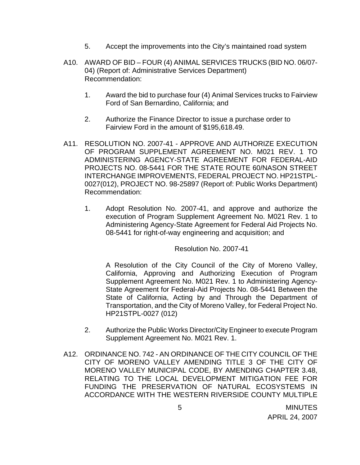- 5. Accept the improvements into the City's maintained road system
- A10. AWARD OF BID FOUR (4) ANIMAL SERVICES TRUCKS (BID NO. 06/07- 04) (Report of: Administrative Services Department) Recommendation:
	- 1. Award the bid to purchase four (4) Animal Services trucks to Fairview Ford of San Bernardino, California; and
	- 2. Authorize the Finance Director to issue a purchase order to Fairview Ford in the amount of \$195,618.49.
- A11. RESOLUTION NO. 2007-41 APPROVE AND AUTHORIZE EXECUTION OF PROGRAM SUPPLEMENT AGREEMENT NO. M021 REV. 1 TO ADMINISTERING AGENCY-STATE AGREEMENT FOR FEDERAL-AID PROJECTS NO. 08-5441 FOR THE STATE ROUTE 60/NASON STREET INTERCHANGE IMPROVEMENTS, FEDERAL PROJECT NO. HP21STPL-0027(012), PROJECT NO. 98-25897 (Report of: Public Works Department) Recommendation:
	- 1. Adopt Resolution No. 2007-41, and approve and authorize the execution of Program Supplement Agreement No. M021 Rev. 1 to Administering Agency-State Agreement for Federal Aid Projects No. 08-5441 for right-of-way engineering and acquisition; and

Resolution No. 2007-41

A Resolution of the City Council of the City of Moreno Valley, California, Approving and Authorizing Execution of Program Supplement Agreement No. M021 Rev. 1 to Administering Agency-State Agreement for Federal-Aid Projects No. 08-5441 Between the State of California, Acting by and Through the Department of Transportation, and the City of Moreno Valley, for Federal Project No. HP21STPL-0027 (012)

- 2. Authorize the Public Works Director/City Engineer to execute Program Supplement Agreement No. M021 Rev. 1.
- A12. ORDINANCE NO. 742 AN ORDINANCE OF THE CITY COUNCIL OF THE CITY OF MORENO VALLEY AMENDING TITLE 3 OF THE CITY OF MORENO VALLEY MUNICIPAL CODE, BY AMENDING CHAPTER 3.48, RELATING TO THE LOCAL DEVELOPMENT MITIGATION FEE FOR FUNDING THE PRESERVATION OF NATURAL ECOSYSTEMS IN ACCORDANCE WITH THE WESTERN RIVERSIDE COUNTY MULTIPLE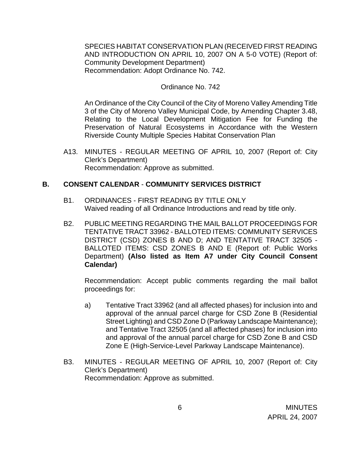SPECIES HABITAT CONSERVATION PLAN (RECEIVED FIRST READING AND INTRODUCTION ON APRIL 10, 2007 ON A 5-0 VOTE) (Report of: Community Development Department) Recommendation: Adopt Ordinance No. 742.

#### Ordinance No. 742

An Ordinance of the City Council of the City of Moreno Valley Amending Title 3 of the City of Moreno Valley Municipal Code, by Amending Chapter 3.48, Relating to the Local Development Mitigation Fee for Funding the Preservation of Natural Ecosystems in Accordance with the Western Riverside County Multiple Species Habitat Conservation Plan

A13. MINUTES - REGULAR MEETING OF APRIL 10, 2007 (Report of: City Clerk's Department) Recommendation: Approve as submitted.

#### **B. CONSENT CALENDAR** - **COMMUNITY SERVICES DISTRICT**

- B1. ORDINANCES FIRST READING BY TITLE ONLY Waived reading of all Ordinance Introductions and read by title only.
- B2. PUBLIC MEETING REGARDING THE MAIL BALLOT PROCEEDINGS FOR TENTATIVE TRACT 33962 - BALLOTED ITEMS: COMMUNITY SERVICES DISTRICT (CSD) ZONES B AND D; AND TENTATIVE TRACT 32505 - BALLOTED ITEMS: CSD ZONES B AND E (Report of: Public Works Department) **(Also listed as Item A7 under City Council Consent Calendar)**

 Recommendation: Accept public comments regarding the mail ballot proceedings for:

- a) Tentative Tract 33962 (and all affected phases) for inclusion into and approval of the annual parcel charge for CSD Zone B (Residential Street Lighting) and CSD Zone D (Parkway Landscape Maintenance); and Tentative Tract 32505 (and all affected phases) for inclusion into and approval of the annual parcel charge for CSD Zone B and CSD Zone E (High-Service-Level Parkway Landscape Maintenance).
- B3. MINUTES REGULAR MEETING OF APRIL 10, 2007 (Report of: City Clerk's Department) Recommendation: Approve as submitted.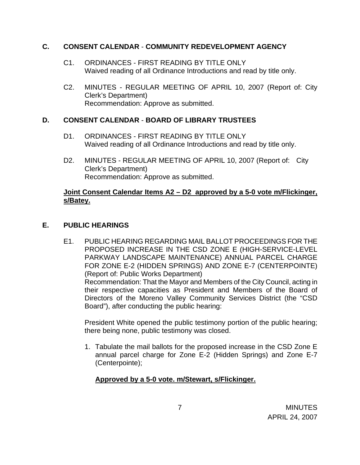## **C. CONSENT CALENDAR** - **COMMUNITY REDEVELOPMENT AGENCY**

- C1. ORDINANCES FIRST READING BY TITLE ONLY Waived reading of all Ordinance Introductions and read by title only.
- C2. MINUTES REGULAR MEETING OF APRIL 10, 2007 (Report of: City Clerk's Department) Recommendation: Approve as submitted.

# **D. CONSENT CALENDAR** - **BOARD OF LIBRARY TRUSTEES**

- D1. ORDINANCES FIRST READING BY TITLE ONLY Waived reading of all Ordinance Introductions and read by title only.
- D2. MINUTES REGULAR MEETING OF APRIL 10, 2007 (Report of: City Clerk's Department) Recommendation: Approve as submitted.

## **Joint Consent Calendar Items A2 – D2 approved by a 5-0 vote m/Flickinger, s/Batey.**

# **E. PUBLIC HEARINGS**

E1. PUBLIC HEARING REGARDING MAIL BALLOT PROCEEDINGS FOR THE PROPOSED INCREASE IN THE CSD ZONE E (HIGH-SERVICE-LEVEL PARKWAY LANDSCAPE MAINTENANCE) ANNUAL PARCEL CHARGE FOR ZONE E-2 (HIDDEN SPRINGS) AND ZONE E-7 (CENTERPOINTE) (Report of: Public Works Department) Recommendation: That the Mayor and Members of the City Council, acting in their respective capacities as President and Members of the Board of Directors of the Moreno Valley Community Services District (the "CSD Board"), after conducting the public hearing:

President White opened the public testimony portion of the public hearing; there being none, public testimony was closed.

1. Tabulate the mail ballots for the proposed increase in the CSD Zone E annual parcel charge for Zone E-2 (Hidden Springs) and Zone E-7 (Centerpointe);

# **Approved by a 5-0 vote. m/Stewart, s/Flickinger.**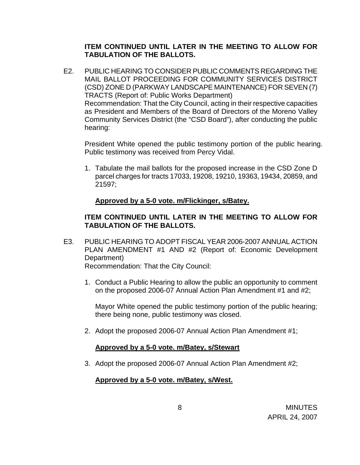## **ITEM CONTINUED UNTIL LATER IN THE MEETING TO ALLOW FOR TABULATION OF THE BALLOTS.**

E2. PUBLIC HEARING TO CONSIDER PUBLIC COMMENTS REGARDING THE MAIL BALLOT PROCEEDING FOR COMMUNITY SERVICES DISTRICT (CSD) ZONE D (PARKWAY LANDSCAPE MAINTENANCE) FOR SEVEN (7) TRACTS (Report of: Public Works Department) Recommendation: That the City Council, acting in their respective capacities as President and Members of the Board of Directors of the Moreno Valley Community Services District (the "CSD Board"), after conducting the public hearing:

 President White opened the public testimony portion of the public hearing. Public testimony was received from Percy Vidal.

1. Tabulate the mail ballots for the proposed increase in the CSD Zone D parcel charges for tracts 17033, 19208, 19210, 19363, 19434, 20859, and 21597;

## **Approved by a 5-0 vote. m/Flickinger, s/Batey.**

# **ITEM CONTINUED UNTIL LATER IN THE MEETING TO ALLOW FOR TABULATION OF THE BALLOTS.**

E3. PUBLIC HEARING TO ADOPT FISCAL YEAR 2006-2007 ANNUAL ACTION PLAN AMENDMENT #1 AND #2 (Report of: Economic Development Department)

Recommendation: That the City Council:

1. Conduct a Public Hearing to allow the public an opportunity to comment on the proposed 2006-07 Annual Action Plan Amendment #1 and #2;

Mayor White opened the public testimony portion of the public hearing; there being none, public testimony was closed.

2. Adopt the proposed 2006-07 Annual Action Plan Amendment #1;

#### **Approved by a 5-0 vote. m/Batey, s/Stewart**

3. Adopt the proposed 2006-07 Annual Action Plan Amendment #2;

#### **Approved by a 5-0 vote. m/Batey, s/West.**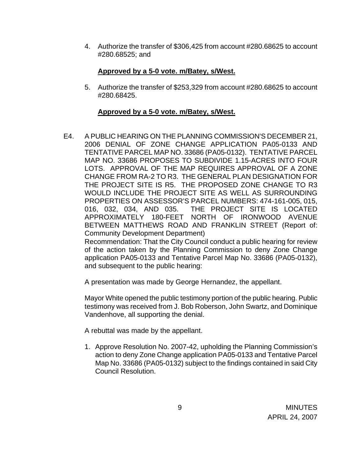4. Authorize the transfer of \$306,425 from account #280.68625 to account #280.68525; and

# **Approved by a 5-0 vote. m/Batey, s/West.**

5. Authorize the transfer of \$253,329 from account #280.68625 to account #280.68425.

## **Approved by a 5-0 vote. m/Batey, s/West.**

E4. A PUBLIC HEARING ON THE PLANNING COMMISSION'S DECEMBER 21, 2006 DENIAL OF ZONE CHANGE APPLICATION PA05-0133 AND TENTATIVE PARCEL MAP NO. 33686 (PA05-0132). TENTATIVE PARCEL MAP NO. 33686 PROPOSES TO SUBDIVIDE 1.15-ACRES INTO FOUR LOTS. APPROVAL OF THE MAP REQUIRES APPROVAL OF A ZONE CHANGE FROM RA-2 TO R3. THE GENERAL PLAN DESIGNATION FOR THE PROJECT SITE IS R5. THE PROPOSED ZONE CHANGE TO R3 WOULD INCLUDE THE PROJECT SITE AS WELL AS SURROUNDING PROPERTIES ON ASSESSOR'S PARCEL NUMBERS: 474-161-005, 015, 016, 032, 034, AND 035. THE PROJECT SITE IS LOCATED APPROXIMATELY 180-FEET NORTH OF IRONWOOD AVENUE BETWEEN MATTHEWS ROAD AND FRANKLIN STREET (Report of: Community Development Department)

 Recommendation: That the City Council conduct a public hearing for review of the action taken by the Planning Commission to deny Zone Change application PA05-0133 and Tentative Parcel Map No. 33686 (PA05-0132), and subsequent to the public hearing:

A presentation was made by George Hernandez, the appellant.

Mayor White opened the public testimony portion of the public hearing. Public testimony was received from J. Bob Roberson, John Swartz, and Dominique Vandenhove, all supporting the denial.

A rebuttal was made by the appellant.

1. Approve Resolution No. 2007-42, upholding the Planning Commission's action to deny Zone Change application PA05-0133 and Tentative Parcel Map No. 33686 (PA05-0132) subject to the findings contained in said City Council Resolution.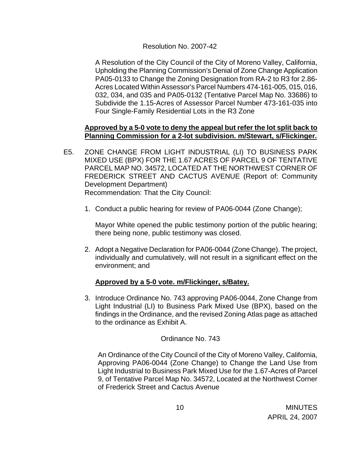### Resolution No. 2007-42

A Resolution of the City Council of the City of Moreno Valley, California, Upholding the Planning Commission's Denial of Zone Change Application PA05-0133 to Change the Zoning Designation from RA-2 to R3 for 2.86- Acres Located Within Assessor's Parcel Numbers 474-161-005, 015, 016, 032, 034, and 035 and PA05-0132 (Tentative Parcel Map No. 33686) to Subdivide the 1.15-Acres of Assessor Parcel Number 473-161-035 into Four Single-Family Residential Lots in the R3 Zone

## **Approved by a 5-0 vote to deny the appeal but refer the lot split back to Planning Commission for a 2-lot subdivision. m/Stewart, s/Flickinger.**

- E5. ZONE CHANGE FROM LIGHT INDUSTRIAL (LI) TO BUSINESS PARK MIXED USE (BPX) FOR THE 1.67 ACRES OF PARCEL 9 OF TENTATIVE PARCEL MAP NO. 34572, LOCATED AT THE NORTHWEST CORNER OF FREDERICK STREET AND CACTUS AVENUE (Report of: Community Development Department) Recommendation: That the City Council:
	- 1. Conduct a public hearing for review of PA06-0044 (Zone Change);

Mayor White opened the public testimony portion of the public hearing; there being none, public testimony was closed.

2. Adopt a Negative Declaration for PA06-0044 (Zone Change). The project, individually and cumulatively, will not result in a significant effect on the environment; and

# **Approved by a 5-0 vote. m/Flickinger, s/Batey.**

3. Introduce Ordinance No. 743 approving PA06-0044, Zone Change from Light Industrial (LI) to Business Park Mixed Use (BPX), based on the findings in the Ordinance, and the revised Zoning Atlas page as attached to the ordinance as Exhibit A.

#### Ordinance No. 743

 An Ordinance of the City Council of the City of Moreno Valley, California, Approving PA06-0044 (Zone Change) to Change the Land Use from Light Industrial to Business Park Mixed Use for the 1.67-Acres of Parcel 9, of Tentative Parcel Map No. 34572, Located at the Northwest Corner of Frederick Street and Cactus Avenue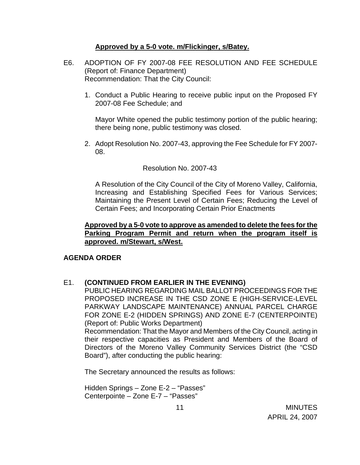### **Approved by a 5-0 vote. m/Flickinger, s/Batey.**

- E6. ADOPTION OF FY 2007-08 FEE RESOLUTION AND FEE SCHEDULE (Report of: Finance Department) Recommendation: That the City Council:
	- 1. Conduct a Public Hearing to receive public input on the Proposed FY 2007-08 Fee Schedule; and

Mayor White opened the public testimony portion of the public hearing; there being none, public testimony was closed.

2. Adopt Resolution No. 2007-43, approving the Fee Schedule for FY 2007- 08.

#### Resolution No. 2007-43

A Resolution of the City Council of the City of Moreno Valley, California, Increasing and Establishing Specified Fees for Various Services; Maintaining the Present Level of Certain Fees; Reducing the Level of Certain Fees; and Incorporating Certain Prior Enactments

## **Approved by a 5-0 vote to approve as amended to delete the fees for the Parking Program Permit and return when the program itself is approved. m/Stewart, s/West.**

#### **AGENDA ORDER**

#### E1. **(CONTINUED FROM EARLIER IN THE EVENING)**

 PUBLIC HEARING REGARDING MAIL BALLOT PROCEEDINGS FOR THE PROPOSED INCREASE IN THE CSD ZONE E (HIGH-SERVICE-LEVEL PARKWAY LANDSCAPE MAINTENANCE) ANNUAL PARCEL CHARGE FOR ZONE E-2 (HIDDEN SPRINGS) AND ZONE E-7 (CENTERPOINTE) (Report of: Public Works Department)

 Recommendation: That the Mayor and Members of the City Council, acting in their respective capacities as President and Members of the Board of Directors of the Moreno Valley Community Services District (the "CSD Board"), after conducting the public hearing:

The Secretary announced the results as follows:

 Hidden Springs – Zone E-2 – "Passes" Centerpointe – Zone E-7 – "Passes"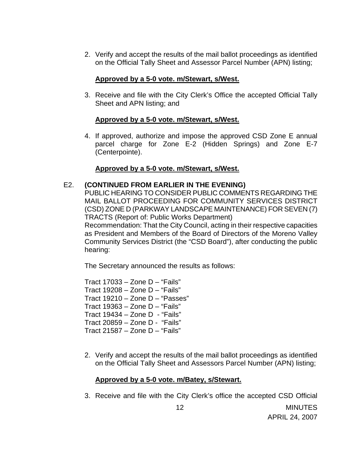2. Verify and accept the results of the mail ballot proceedings as identified on the Official Tally Sheet and Assessor Parcel Number (APN) listing;

## **Approved by a 5-0 vote. m/Stewart, s/West.**

3. Receive and file with the City Clerk's Office the accepted Official Tally Sheet and APN listing; and

## **Approved by a 5-0 vote. m/Stewart, s/West.**

4. If approved, authorize and impose the approved CSD Zone E annual parcel charge for Zone E-2 (Hidden Springs) and Zone E-7 (Centerpointe).

## **Approved by a 5-0 vote. m/Stewart, s/West.**

## E2. **(CONTINUED FROM EARLIER IN THE EVENING)**

 PUBLIC HEARING TO CONSIDER PUBLIC COMMENTS REGARDING THE MAIL BALLOT PROCEEDING FOR COMMUNITY SERVICES DISTRICT (CSD) ZONE D (PARKWAY LANDSCAPE MAINTENANCE) FOR SEVEN (7) TRACTS (Report of: Public Works Department)

 Recommendation: That the City Council, acting in their respective capacities as President and Members of the Board of Directors of the Moreno Valley Community Services District (the "CSD Board"), after conducting the public hearing:

The Secretary announced the results as follows:

Tract  $17033 -$ Zone D – "Fails" Tract 19208 – Zone D – "Fails" Tract 19210 – Zone D – "Passes" Tract 19363 – Zone D – "Fails" Tract 19434 – Zone D - "Fails" Tract 20859 – Zone D - "Fails" Tract 21587 – Zone D – "Fails"

2. Verify and accept the results of the mail ballot proceedings as identified on the Official Tally Sheet and Assessors Parcel Number (APN) listing;

# **Approved by a 5-0 vote. m/Batey, s/Stewart.**

3. Receive and file with the City Clerk's office the accepted CSD Official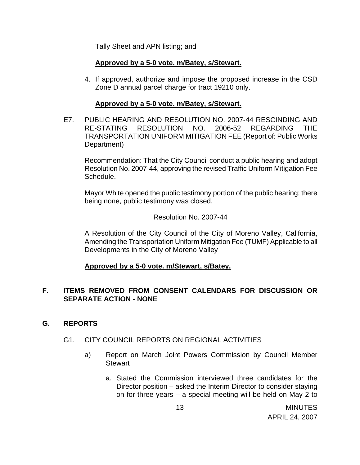Tally Sheet and APN listing; and

## **Approved by a 5-0 vote. m/Batey, s/Stewart.**

4. If approved, authorize and impose the proposed increase in the CSD Zone D annual parcel charge for tract 19210 only.

#### **Approved by a 5-0 vote. m/Batey, s/Stewart.**

E7. PUBLIC HEARING AND RESOLUTION NO. 2007-44 RESCINDING AND RE-STATING RESOLUTION NO. 2006-52 REGARDING THE TRANSPORTATION UNIFORM MITIGATION FEE (Report of: Public Works Department)

 Recommendation: That the City Council conduct a public hearing and adopt Resolution No. 2007-44, approving the revised Traffic Uniform Mitigation Fee Schedule.

Mayor White opened the public testimony portion of the public hearing; there being none, public testimony was closed.

#### Resolution No. 2007-44

A Resolution of the City Council of the City of Moreno Valley, California, Amending the Transportation Uniform Mitigation Fee (TUMF) Applicable to all Developments in the City of Moreno Valley

#### **Approved by a 5-0 vote. m/Stewart, s/Batey.**

## **F. ITEMS REMOVED FROM CONSENT CALENDARS FOR DISCUSSION OR SEPARATE ACTION - NONE**

#### **G. REPORTS**

#### G1. CITY COUNCIL REPORTS ON REGIONAL ACTIVITIES

- a) Report on March Joint Powers Commission by Council Member **Stewart** 
	- a. Stated the Commission interviewed three candidates for the Director position – asked the Interim Director to consider staying on for three years – a special meeting will be held on May 2 to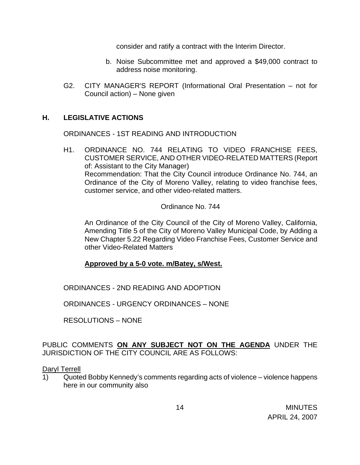consider and ratify a contract with the Interim Director.

- b. Noise Subcommittee met and approved a \$49,000 contract to address noise monitoring.
- G2. CITY MANAGER'S REPORT (Informational Oral Presentation not for Council action) – None given

## **H. LEGISLATIVE ACTIONS**

ORDINANCES - 1ST READING AND INTRODUCTION

H1. ORDINANCE NO. 744 RELATING TO VIDEO FRANCHISE FEES, CUSTOMER SERVICE, AND OTHER VIDEO-RELATED MATTERS (Report of: Assistant to the City Manager) Recommendation: That the City Council introduce Ordinance No. 744, an Ordinance of the City of Moreno Valley, relating to video franchise fees, customer service, and other video-related matters.

Ordinance No. 744

An Ordinance of the City Council of the City of Moreno Valley, California, Amending Title 5 of the City of Moreno Valley Municipal Code, by Adding a New Chapter 5.22 Regarding Video Franchise Fees, Customer Service and other Video-Related Matters

#### **Approved by a 5-0 vote. m/Batey, s/West.**

ORDINANCES - 2ND READING AND ADOPTION

ORDINANCES - URGENCY ORDINANCES – NONE

RESOLUTIONS – NONE

PUBLIC COMMENTS **ON ANY SUBJECT NOT ON THE AGENDA** UNDER THE JURISDICTION OF THE CITY COUNCIL ARE AS FOLLOWS:

#### Daryl Terrell

1) Quoted Bobby Kennedy's comments regarding acts of violence – violence happens here in our community also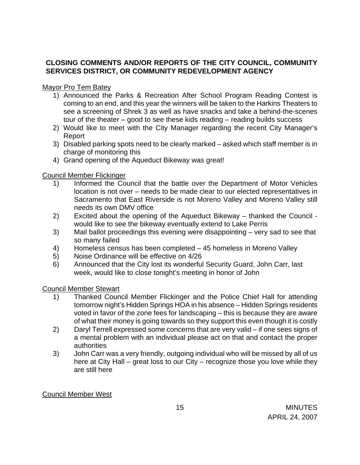# **CLOSING COMMENTS AND/OR REPORTS OF THE CITY COUNCIL, COMMUNITY SERVICES DISTRICT, OR COMMUNITY REDEVELOPMENT AGENCY**

### Mayor Pro Tem Batey

- 1) Announced the Parks & Recreation After School Program Reading Contest is coming to an end, and this year the winners will be taken to the Harkins Theaters to see a screening of Shrek 3 as well as have snacks and take a behind-the-scenes tour of the theater – good to see these kids reading – reading builds success
- 2) Would like to meet with the City Manager regarding the recent City Manager's Report
- 3) Disabled parking spots need to be clearly marked asked which staff member is in charge of monitoring this
- 4) Grand opening of the Aqueduct Bikeway was great!

## Council Member Flickinger

- 1) Informed the Council that the battle over the Department of Motor Vehicles location is not over – needs to be made clear to our elected representatives in Sacramento that East Riverside is not Moreno Valley and Moreno Valley still needs its own DMV office
- 2) Excited about the opening of the Aqueduct Bikeway thanked the Council would like to see the bikeway eventually extend to Lake Perris
- 3) Mail ballot proceedings this evening were disappointing very sad to see that so many failed
- 4) Homeless census has been completed 45 homeless in Moreno Valley
- 5) Noise Ordinance will be effective on 4/26
- 6) Announced that the City lost its wonderful Security Guard, John Carr, last week, would like to close tonight's meeting in honor of John

# Council Member Stewart

- 1) Thanked Council Member Flickinger and the Police Chief Hall for attending tomorrow night's Hidden Springs HOA in his absence – Hidden Springs residents voted in favor of the zone fees for landscaping – this is because they are aware of what their money is going towards so they support this even though it is costly
- 2) Daryl Terrell expressed some concerns that are very valid if one sees signs of a mental problem with an individual please act on that and contact the proper authorities
- 3) John Carr was a very friendly, outgoing individual who will be missed by all of us here at City Hall – great loss to our City – recognize those you love while they are still here

# Council Member West